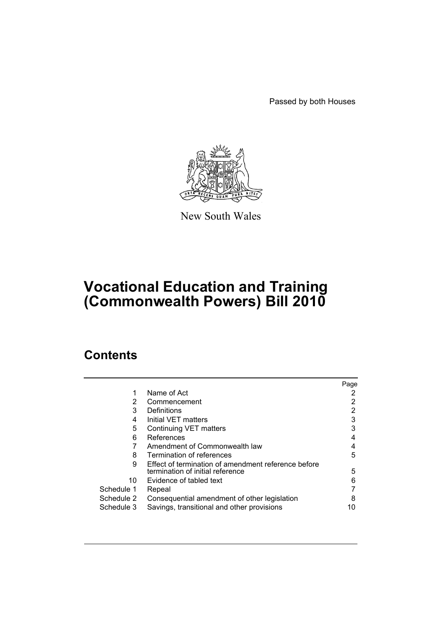Passed by both Houses



New South Wales

# **Vocational Education and Training (Commonwealth Powers) Bill 2010**

## **Contents**

|            |                                                     | Page |
|------------|-----------------------------------------------------|------|
|            | Name of Act                                         |      |
| 2          | Commencement                                        |      |
| 3          | <b>Definitions</b>                                  | 2    |
| 4          | Initial VET matters                                 | 3    |
| 5          | Continuing VET matters                              | 3    |
| 6          | References                                          | 4    |
|            | Amendment of Commonwealth law                       |      |
| 8          | Termination of references                           | 5    |
| 9          | Effect of termination of amendment reference before |      |
|            | termination of initial reference                    | 5    |
| 10         | Evidence of tabled text                             | 6    |
| Schedule 1 | Repeal                                              |      |
| Schedule 2 | Consequential amendment of other legislation        | 8    |
| Schedule 3 | Savings, transitional and other provisions          | 10   |
|            |                                                     |      |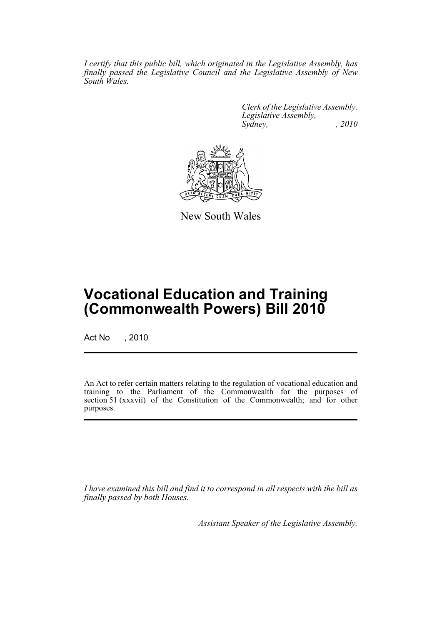*I certify that this public bill, which originated in the Legislative Assembly, has finally passed the Legislative Council and the Legislative Assembly of New South Wales.*

> *Clerk of the Legislative Assembly. Legislative Assembly, Sydney, , 2010*



New South Wales

# **Vocational Education and Training (Commonwealth Powers) Bill 2010**

Act No , 2010

An Act to refer certain matters relating to the regulation of vocational education and training to the Parliament of the Commonwealth for the purposes of section 51 (xxxvii) of the Constitution of the Commonwealth; and for other purposes.

*I have examined this bill and find it to correspond in all respects with the bill as finally passed by both Houses.*

*Assistant Speaker of the Legislative Assembly.*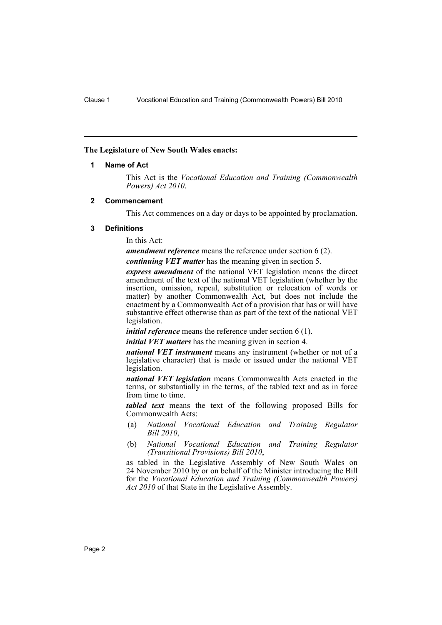#### <span id="page-3-0"></span>**The Legislature of New South Wales enacts:**

#### **1 Name of Act**

This Act is the *Vocational Education and Training (Commonwealth Powers) Act 2010*.

#### <span id="page-3-1"></span>**2 Commencement**

This Act commences on a day or days to be appointed by proclamation.

#### <span id="page-3-2"></span>**3 Definitions**

In this Act:

*amendment reference* means the reference under section 6 (2).

*continuing VET matter* has the meaning given in section 5.

*express amendment* of the national VET legislation means the direct amendment of the text of the national VET legislation (whether by the insertion, omission, repeal, substitution or relocation of words or matter) by another Commonwealth Act, but does not include the enactment by a Commonwealth Act of a provision that has or will have substantive effect otherwise than as part of the text of the national VET legislation.

*initial reference* means the reference under section 6 (1).

*initial VET matters* has the meaning given in section 4.

*national VET instrument* means any instrument (whether or not of a legislative character) that is made or issued under the national VET legislation.

*national VET legislation* means Commonwealth Acts enacted in the terms, or substantially in the terms, of the tabled text and as in force from time to time.

*tabled text* means the text of the following proposed Bills for Commonwealth Acts:

- (a) *National Vocational Education and Training Regulator Bill 2010*,
- (b) *National Vocational Education and Training Regulator (Transitional Provisions) Bill 2010*,

as tabled in the Legislative Assembly of New South Wales on 24 November 2010 by or on behalf of the Minister introducing the Bill for the *Vocational Education and Training (Commonwealth Powers) Act 2010* of that State in the Legislative Assembly.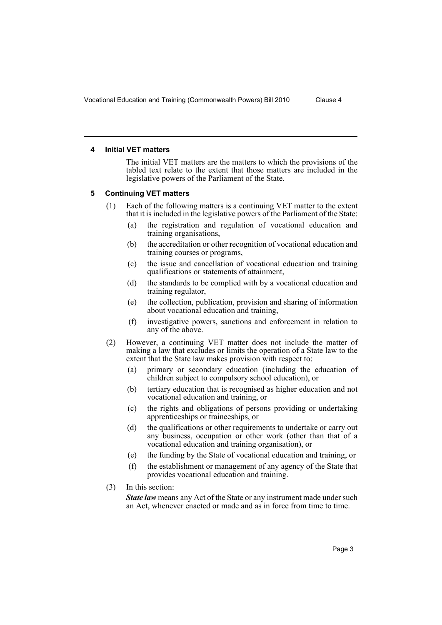#### <span id="page-4-0"></span>**4 Initial VET matters**

The initial VET matters are the matters to which the provisions of the tabled text relate to the extent that those matters are included in the legislative powers of the Parliament of the State.

## <span id="page-4-1"></span>**5 Continuing VET matters**

- (1) Each of the following matters is a continuing VET matter to the extent that it is included in the legislative powers of the Parliament of the State:
	- (a) the registration and regulation of vocational education and training organisations,
	- (b) the accreditation or other recognition of vocational education and training courses or programs,
	- (c) the issue and cancellation of vocational education and training qualifications or statements of attainment,
	- (d) the standards to be complied with by a vocational education and training regulator,
	- (e) the collection, publication, provision and sharing of information about vocational education and training,
	- (f) investigative powers, sanctions and enforcement in relation to any of the above.
- (2) However, a continuing VET matter does not include the matter of making a law that excludes or limits the operation of a State law to the extent that the State law makes provision with respect to:
	- (a) primary or secondary education (including the education of children subject to compulsory school education), or
	- (b) tertiary education that is recognised as higher education and not vocational education and training, or
	- (c) the rights and obligations of persons providing or undertaking apprenticeships or traineeships, or
	- (d) the qualifications or other requirements to undertake or carry out any business, occupation or other work (other than that of a vocational education and training organisation), or
	- (e) the funding by the State of vocational education and training, or
	- (f) the establishment or management of any agency of the State that provides vocational education and training.
- (3) In this section:

*State law* means any Act of the State or any instrument made under such an Act, whenever enacted or made and as in force from time to time.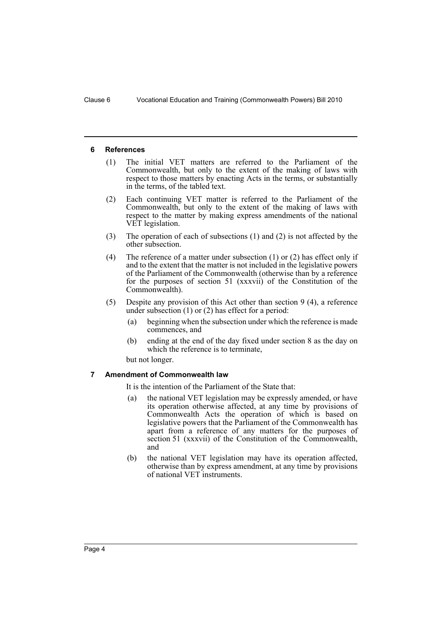#### <span id="page-5-0"></span>**6 References**

- (1) The initial VET matters are referred to the Parliament of the Commonwealth, but only to the extent of the making of laws with respect to those matters by enacting Acts in the terms, or substantially in the terms, of the tabled text.
- (2) Each continuing VET matter is referred to the Parliament of the Commonwealth, but only to the extent of the making of laws with respect to the matter by making express amendments of the national VET legislation.
- (3) The operation of each of subsections (1) and (2) is not affected by the other subsection.
- (4) The reference of a matter under subsection (1) or (2) has effect only if and to the extent that the matter is not included in the legislative powers of the Parliament of the Commonwealth (otherwise than by a reference for the purposes of section 51 (xxxvii) of the Constitution of the Commonwealth).
- (5) Despite any provision of this Act other than section 9 (4), a reference under subsection (1) or (2) has effect for a period:
	- (a) beginning when the subsection under which the reference is made commences, and
	- (b) ending at the end of the day fixed under section 8 as the day on which the reference is to terminate,

but not longer.

#### <span id="page-5-1"></span>**7 Amendment of Commonwealth law**

It is the intention of the Parliament of the State that:

- (a) the national VET legislation may be expressly amended, or have its operation otherwise affected, at any time by provisions of Commonwealth Acts the operation of which is based on legislative powers that the Parliament of the Commonwealth has apart from a reference of any matters for the purposes of section 51 (xxxvii) of the Constitution of the Commonwealth, and
- (b) the national VET legislation may have its operation affected, otherwise than by express amendment, at any time by provisions of national VET instruments.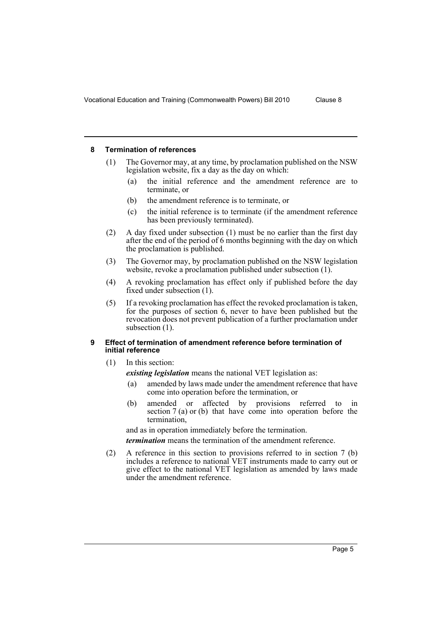#### <span id="page-6-0"></span>**8 Termination of references**

- (1) The Governor may, at any time, by proclamation published on the NSW legislation website, fix a day as the day on which:
	- (a) the initial reference and the amendment reference are to terminate, or
	- (b) the amendment reference is to terminate, or
	- (c) the initial reference is to terminate (if the amendment reference has been previously terminated).
- (2) A day fixed under subsection (1) must be no earlier than the first day after the end of the period of 6 months beginning with the day on which the proclamation is published.
- (3) The Governor may, by proclamation published on the NSW legislation website, revoke a proclamation published under subsection (1).
- (4) A revoking proclamation has effect only if published before the day fixed under subsection (1).
- (5) If a revoking proclamation has effect the revoked proclamation is taken, for the purposes of section 6, never to have been published but the revocation does not prevent publication of a further proclamation under subsection  $(1)$ .

#### <span id="page-6-1"></span>**9 Effect of termination of amendment reference before termination of initial reference**

- (1) In this section:
	- *existing legislation* means the national VET legislation as:
	- (a) amended by laws made under the amendment reference that have come into operation before the termination, or
	- (b) amended or affected by provisions referred to in section 7 (a) or (b) that have come into operation before the termination,

and as in operation immediately before the termination.

*termination* means the termination of the amendment reference.

(2) A reference in this section to provisions referred to in section 7 (b) includes a reference to national VET instruments made to carry out or give effect to the national VET legislation as amended by laws made under the amendment reference.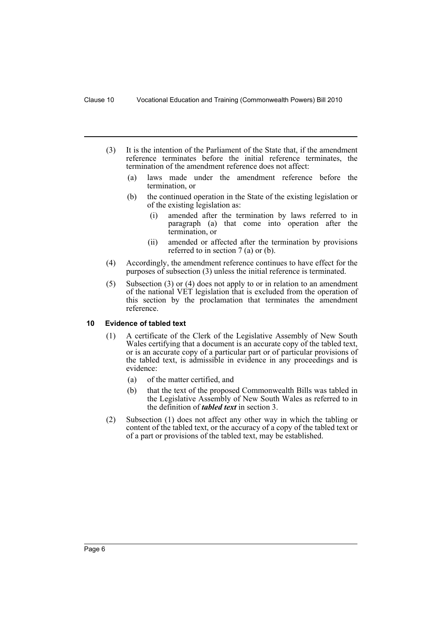- (3) It is the intention of the Parliament of the State that, if the amendment reference terminates before the initial reference terminates, the termination of the amendment reference does not affect:
	- (a) laws made under the amendment reference before the termination, or
	- (b) the continued operation in the State of the existing legislation or of the existing legislation as:
		- (i) amended after the termination by laws referred to in paragraph (a) that come into operation after the termination, or
		- (ii) amended or affected after the termination by provisions referred to in section 7 (a) or (b).
- (4) Accordingly, the amendment reference continues to have effect for the purposes of subsection (3) unless the initial reference is terminated.
- (5) Subsection (3) or (4) does not apply to or in relation to an amendment of the national VET legislation that is excluded from the operation of this section by the proclamation that terminates the amendment reference.

## <span id="page-7-0"></span>**10 Evidence of tabled text**

- (1) A certificate of the Clerk of the Legislative Assembly of New South Wales certifying that a document is an accurate copy of the tabled text, or is an accurate copy of a particular part or of particular provisions of the tabled text, is admissible in evidence in any proceedings and is evidence:
	- (a) of the matter certified, and
	- (b) that the text of the proposed Commonwealth Bills was tabled in the Legislative Assembly of New South Wales as referred to in the definition of *tabled text* in section 3.
- (2) Subsection (1) does not affect any other way in which the tabling or content of the tabled text, or the accuracy of a copy of the tabled text or of a part or provisions of the tabled text, may be established.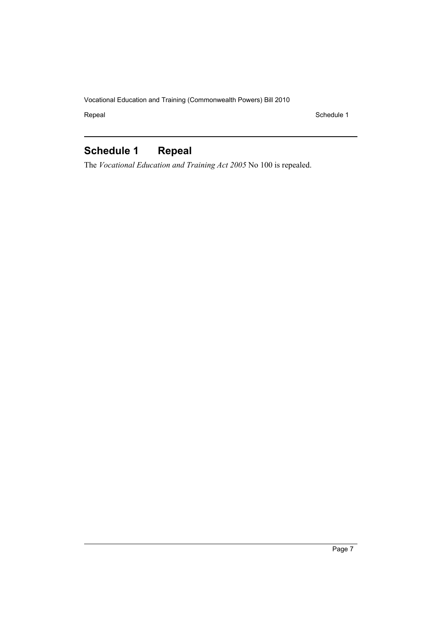Repeal Schedule 1

## <span id="page-8-0"></span>**Schedule 1 Repeal**

The *Vocational Education and Training Act 2005* No 100 is repealed.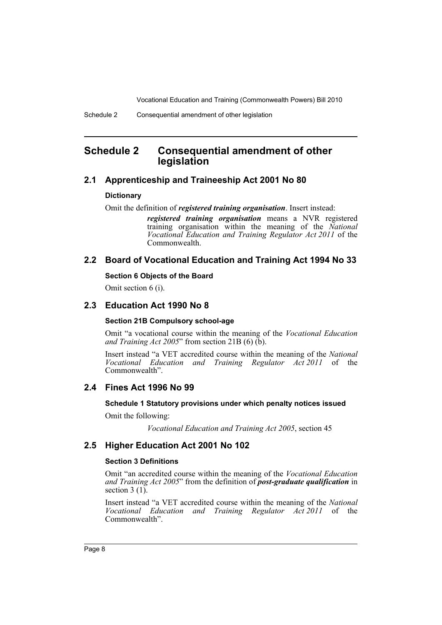## <span id="page-9-0"></span>**Schedule 2 Consequential amendment of other legislation**

## **2.1 Apprenticeship and Traineeship Act 2001 No 80**

## **Dictionary**

Omit the definition of *registered training organisation*. Insert instead:

*registered training organisation* means a NVR registered training organisation within the meaning of the *National Vocational Education and Training Regulator Act 2011* of the Commonwealth.

## **2.2 Board of Vocational Education and Training Act 1994 No 33**

## **Section 6 Objects of the Board**

Omit section 6 (i).

## **2.3 Education Act 1990 No 8**

## **Section 21B Compulsory school-age**

Omit "a vocational course within the meaning of the *Vocational Education and Training Act 2005*" from section 21B (6) (b).

Insert instead "a VET accredited course within the meaning of the *National Vocational Education and Training Regulator Act 2011* of the Commonwealth".

## **2.4 Fines Act 1996 No 99**

## **Schedule 1 Statutory provisions under which penalty notices issued**

Omit the following:

*Vocational Education and Training Act 2005*, section 45

## **2.5 Higher Education Act 2001 No 102**

## **Section 3 Definitions**

Omit "an accredited course within the meaning of the *Vocational Education and Training Act 2005*" from the definition of *post-graduate qualification* in section  $3(1)$ .

Insert instead "a VET accredited course within the meaning of the *National Vocational Education and Training Regulator Act 2011* of the Commonwealth".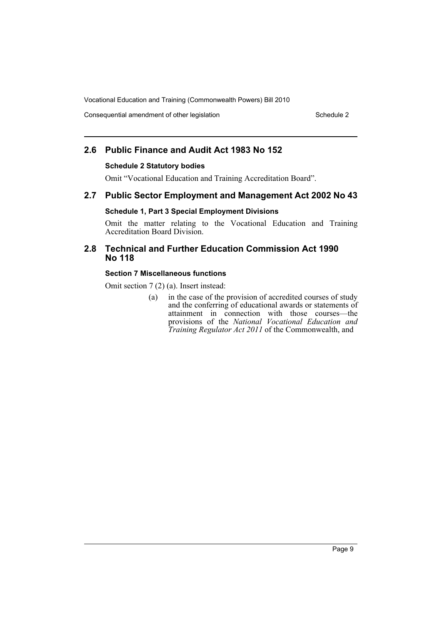Consequential amendment of other legislation Schedule 2 Schedule 2

## **2.6 Public Finance and Audit Act 1983 No 152**

### **Schedule 2 Statutory bodies**

Omit "Vocational Education and Training Accreditation Board".

## **2.7 Public Sector Employment and Management Act 2002 No 43**

## **Schedule 1, Part 3 Special Employment Divisions**

Omit the matter relating to the Vocational Education and Training Accreditation Board Division.

## **2.8 Technical and Further Education Commission Act 1990 No 118**

## **Section 7 Miscellaneous functions**

Omit section 7 (2) (a). Insert instead:

(a) in the case of the provision of accredited courses of study and the conferring of educational awards or statements of attainment in connection with those courses—the provisions of the *National Vocational Education and Training Regulator Act 2011* of the Commonwealth, and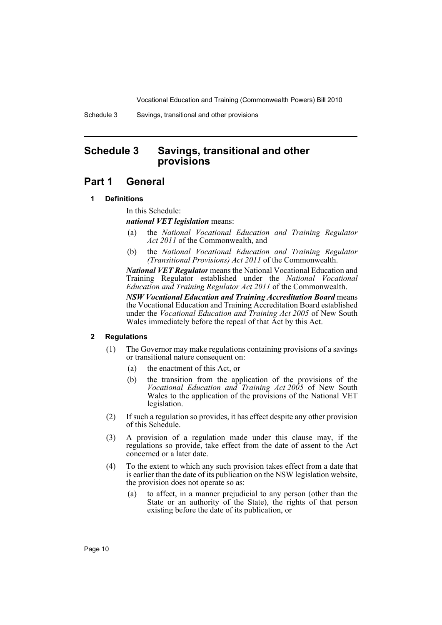Schedule 3 Savings, transitional and other provisions

## <span id="page-11-0"></span>**Schedule 3 Savings, transitional and other provisions**

## **Part 1 General**

## **1 Definitions**

In this Schedule:

*national VET legislation* means:

- (a) the *National Vocational Education and Training Regulator Act 2011* of the Commonwealth, and
- (b) the *National Vocational Education and Training Regulator (Transitional Provisions) Act 2011* of the Commonwealth.

*National VET Regulator* means the National Vocational Education and Training Regulator established under the *National Vocational Education and Training Regulator Act 2011* of the Commonwealth.

*NSW Vocational Education and Training Accreditation Board* means the Vocational Education and Training Accreditation Board established under the *Vocational Education and Training Act 2005* of New South Wales immediately before the repeal of that Act by this Act.

## **2 Regulations**

- (1) The Governor may make regulations containing provisions of a savings or transitional nature consequent on:
	- (a) the enactment of this Act, or
	- (b) the transition from the application of the provisions of the *Vocational Education and Training Act 2005* of New South Wales to the application of the provisions of the National VET legislation.
- (2) If such a regulation so provides, it has effect despite any other provision of this Schedule.
- (3) A provision of a regulation made under this clause may, if the regulations so provide, take effect from the date of assent to the Act concerned or a later date.
- (4) To the extent to which any such provision takes effect from a date that is earlier than the date of its publication on the NSW legislation website, the provision does not operate so as:
	- (a) to affect, in a manner prejudicial to any person (other than the State or an authority of the State), the rights of that person existing before the date of its publication, or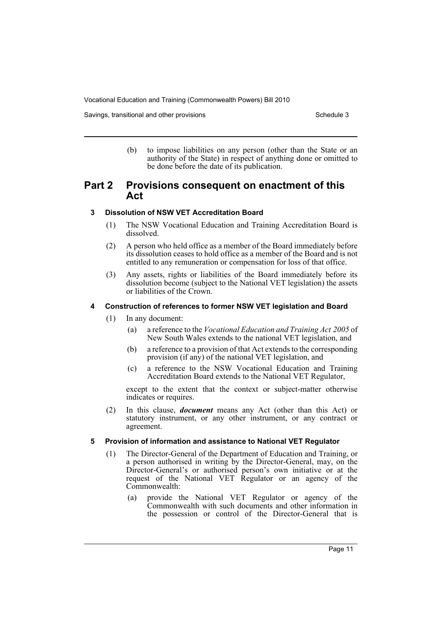Savings, transitional and other provisions Schedule 3 and Schedule 3

(b) to impose liabilities on any person (other than the State or an authority of the State) in respect of anything done or omitted to be done before the date of its publication.

## **Part 2 Provisions consequent on enactment of this Act**

## **3 Dissolution of NSW VET Accreditation Board**

- (1) The NSW Vocational Education and Training Accreditation Board is dissolved.
- (2) A person who held office as a member of the Board immediately before its dissolution ceases to hold office as a member of the Board and is not entitled to any remuneration or compensation for loss of that office.
- (3) Any assets, rights or liabilities of the Board immediately before its dissolution become (subject to the National VET legislation) the assets or liabilities of the Crown.

## **4 Construction of references to former NSW VET legislation and Board**

- (1) In any document:
	- (a) a reference to the *Vocational Education and Training Act 2005* of New South Wales extends to the national VET legislation, and
	- (b) a reference to a provision of that Act extends to the corresponding provision (if any) of the national VET legislation, and
	- (c) a reference to the NSW Vocational Education and Training Accreditation Board extends to the National VET Regulator,

except to the extent that the context or subject-matter otherwise indicates or requires.

(2) In this clause, *document* means any Act (other than this Act) or statutory instrument, or any other instrument, or any contract or agreement.

## **5 Provision of information and assistance to National VET Regulator**

- (1) The Director-General of the Department of Education and Training, or a person authorised in writing by the Director-General, may, on the Director-General's or authorised person's own initiative or at the request of the National VET Regulator or an agency of the Commonwealth:
	- (a) provide the National VET Regulator or agency of the Commonwealth with such documents and other information in the possession or control of the Director-General that is